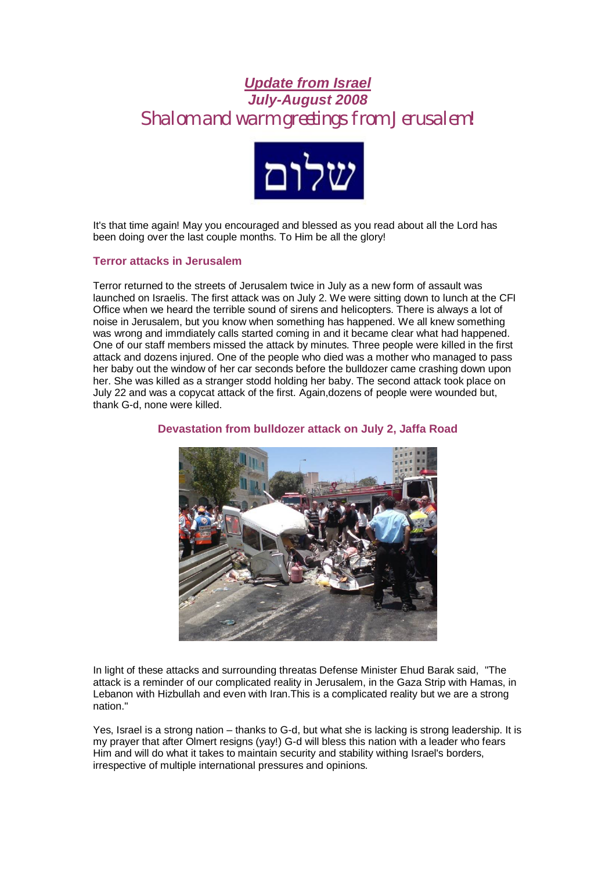# *Update from Israel July-August 2008* **Shalom and warm greetings from Jerusalem!**



It's that time again! May you encouraged and blessed as you read about all the Lord has been doing over the last couple months. To Him be all the glory!

## **Terror attacks in Jerusalem**

Terror returned to the streets of Jerusalem twice in July as a new form of assault was launched on Israelis. The first attack was on July 2. We were sitting down to lunch at the CFI Office when we heard the terrible sound of sirens and helicopters. There is always a lot of noise in Jerusalem, but you know when something has happened. We all knew something was wrong and immdiately calls started coming in and it became clear what had happened. One of our staff members missed the attack by minutes. Three people were killed in the first attack and dozens injured. One of the people who died was a mother who managed to pass her baby out the window of her car seconds before the bulldozer came crashing down upon her. She was killed as a stranger stodd holding her baby. The second attack took place on July 22 and was a copycat attack of the first. Again,dozens of people were wounded but, thank G-d, none were killed.



## **Devastation from bulldozer attack on July 2, Jaffa Road**

In light of these attacks and surrounding threatas Defense Minister Ehud Barak said, "The attack is a reminder of our complicated reality in Jerusalem, in the Gaza Strip with Hamas, in Lebanon with Hizbullah and even with Iran.This is a complicated reality but we are a strong nation."

Yes, Israel is a strong nation – thanks to G-d, but what she is lacking is strong leadership. It is my prayer that after Olmert resigns (yay!) G-d will bless this nation with a leader who fears Him and will do what it takes to maintain security and stability withing Israel's borders, irrespective of multiple international pressures and opinions.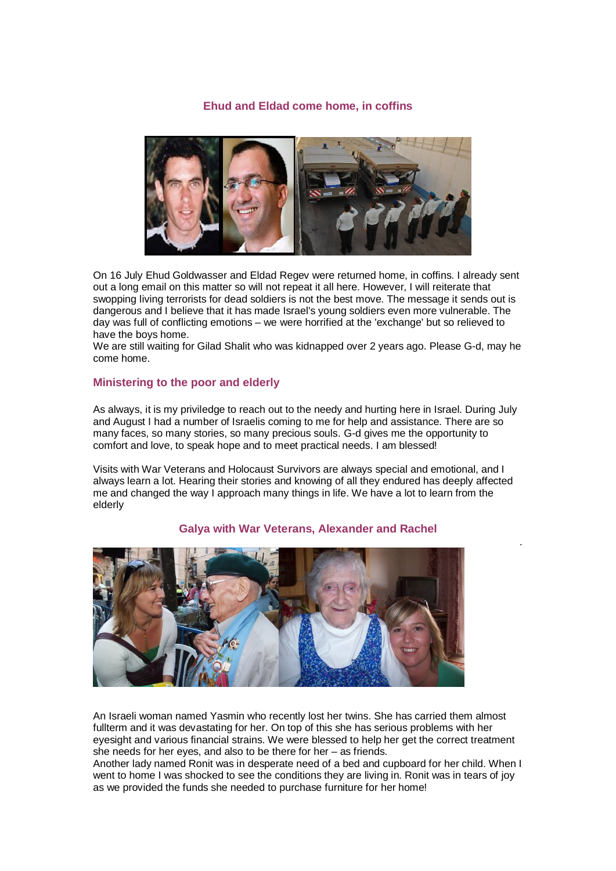## **Ehud and Eldad come home, in coffins**



On 16 July Ehud Goldwasser and Eldad Regev were returned home, in coffins. I already sent out a long email on this matter so will not repeat it all here. However, I will reiterate that swopping living terrorists for dead soldiers is not the best move. The message it sends out is dangerous and I believe that it has made Israel's young soldiers even more vulnerable. The day was full of conflicting emotions – we were horrified at the 'exchange' but so relieved to have the boys home.

We are still waiting for Gilad Shalit who was kidnapped over 2 years ago. Please G-d, may he come home.

#### **Ministering to the poor and elderly**

As always, it is my priviledge to reach out to the needy and hurting here in Israel. During July and August I had a number of Israelis coming to me for help and assistance. There are so many faces, so many stories, so many precious souls. G-d gives me the opportunity to comfort and love, to speak hope and to meet practical needs. I am blessed!

Visits with War Veterans and Holocaust Survivors are always special and emotional, and I always learn a lot. Hearing their stories and knowing of all they endured has deeply affected me and changed the way I approach many things in life. We have a lot to learn from the elderly



#### **Galya with War Veterans, Alexander and Rachel**

.

An Israeli woman named Yasmin who recently lost her twins. She has carried them almost fullterm and it was devastating for her. On top of this she has serious problems with her eyesight and various financial strains. We were blessed to help her get the correct treatment she needs for her eyes, and also to be there for her – as friends.

Another lady named Ronit was in desperate need of a bed and cupboard for her child. When I went to home I was shocked to see the conditions they are living in. Ronit was in tears of joy as we provided the funds she needed to purchase furniture for her home!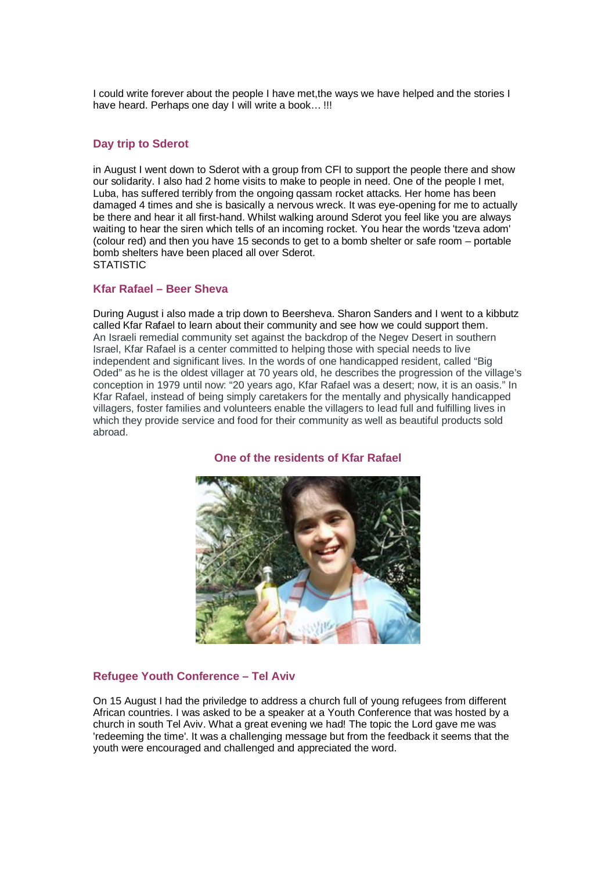I could write forever about the people I have met,the ways we have helped and the stories I have heard. Perhaps one day I will write a book… !!!

## **Day trip to Sderot**

in August I went down to Sderot with a group from CFI to support the people there and show our solidarity. I also had 2 home visits to make to people in need. One of the people I met, Luba, has suffered terribly from the ongoing qassam rocket attacks. Her home has been damaged 4 times and she is basically a nervous wreck. It was eye-opening for me to actually be there and hear it all first-hand. Whilst walking around Sderot you feel like you are always waiting to hear the siren which tells of an incoming rocket. You hear the words 'tzeva adom' (colour red) and then you have 15 seconds to get to a bomb shelter or safe room – portable bomb shelters have been placed all over Sderot. **STATISTIC** 

#### **Kfar Rafael – Beer Sheva**

During August i also made a trip down to Beersheva. Sharon Sanders and I went to a kibbutz called Kfar Rafael to learn about their community and see how we could support them. An Israeli remedial community set against the backdrop of the Negev Desert in southern Israel, Kfar Rafael is a center committed to helping those with special needs to live independent and significant lives. In the words of one handicapped resident, called "Big Oded" as he is the oldest villager at 70 years old, he describes the progression of the village's conception in 1979 until now: "20 years ago, Kfar Rafael was a desert; now, it is an oasis." In Kfar Rafael, instead of being simply caretakers for the mentally and physically handicapped villagers, foster families and volunteers enable the villagers to lead full and fulfilling lives in which they provide service and food for their community as well as beautiful products sold abroad.

## **One of the residents of Kfar Rafael**



#### **Refugee Youth Conference – Tel Aviv**

On 15 August I had the priviledge to address a church full of young refugees from different African countries. I was asked to be a speaker at a Youth Conference that was hosted by a church in south Tel Aviv. What a great evening we had! The topic the Lord gave me was 'redeeming the time'. It was a challenging message but from the feedback it seems that the youth were encouraged and challenged and appreciated the word.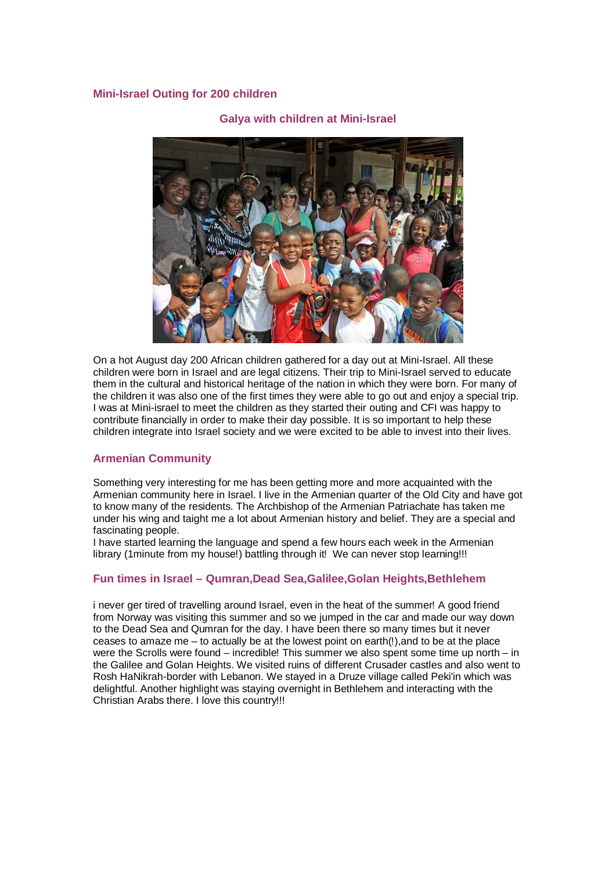## **Mini-Israel Outing for 200 children**



# **Galya with children at Mini-Israel**

On a hot August day 200 African children gathered for a day out at Mini-Israel. All these children were born in Israel and are legal citizens. Their trip to Mini-Israel served to educate them in the cultural and historical heritage of the nation in which they were born. For many of the children it was also one of the first times they were able to go out and enjoy a special trip. I was at Mini-israel to meet the children as they started their outing and CFI was happy to contribute financially in order to make their day possible. It is so important to help these children integrate into Israel society and we were excited to be able to invest into their lives.

## **Armenian Community**

Something very interesting for me has been getting more and more acquainted with the Armenian community here in Israel. I live in the Armenian quarter of the Old City and have got to know many of the residents. The Archbishop of the Armenian Patriachate has taken me under his wing and taight me a lot about Armenian history and belief. They are a special and fascinating people.

I have started learning the language and spend a few hours each week in the Armenian library (1minute from my house!) battling through it! We can never stop learning!!!

## **Fun times in Israel – Qumran,Dead Sea,Galilee,Golan Heights,Bethlehem**

i never ger tired of travelling around Israel, even in the heat of the summer! A good friend from Norway was visiting this summer and so we jumped in the car and made our way down to the Dead Sea and Qumran for the day. I have been there so many times but it never ceases to amaze me – to actually be at the lowest point on earth(!),and to be at the place were the Scrolls were found – incredible! This summer we also spent some time up north – in the Galilee and Golan Heights. We visited ruins of different Crusader castles and also went to Rosh HaNikrah-border with Lebanon. We stayed in a Druze village called Peki'in which was delightful. Another highlight was staying overnight in Bethlehem and interacting with the Christian Arabs there. I love this country!!!